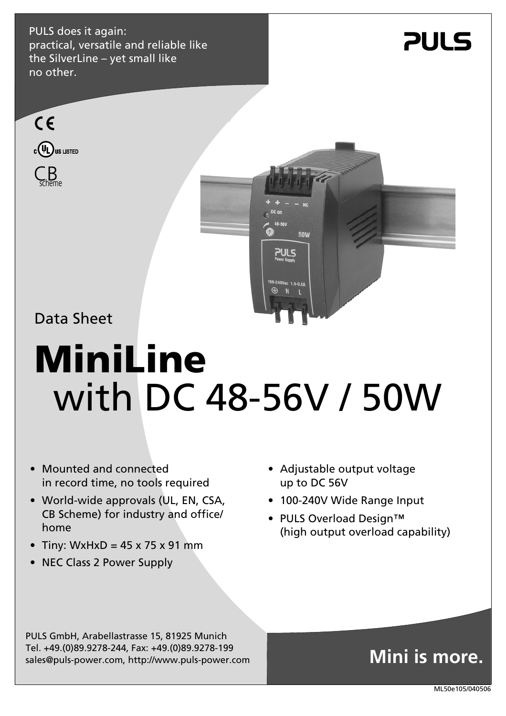PULS does it again: practical, versatile and reliable like the SilverLine – yet small like no other.

## **PULS**





Data Sheet

# **MiniLine**  with DC 48-56V / 50W

- Mounted and connected in record time, no tools required
- World-wide approvals (UL, EN, CSA, CB Scheme) for industry and office/ home
- Tiny: WxHxD =  $45 \times 75 \times 91$  mm
- NEC Class 2 Power Supply
- Adjustable output voltage up to DC 56V
- 100-240V Wide Range Input
- PULS Overload Design™ (high output overload capability)

PULS GmbH, Arabellastrasse 15, 81925 Munich Tel. +49.(0)89.9278-244, Fax: +49.(0)89.9278-199 sales@puls-power.com, http://www.puls-power.com

## **Mini is more.**